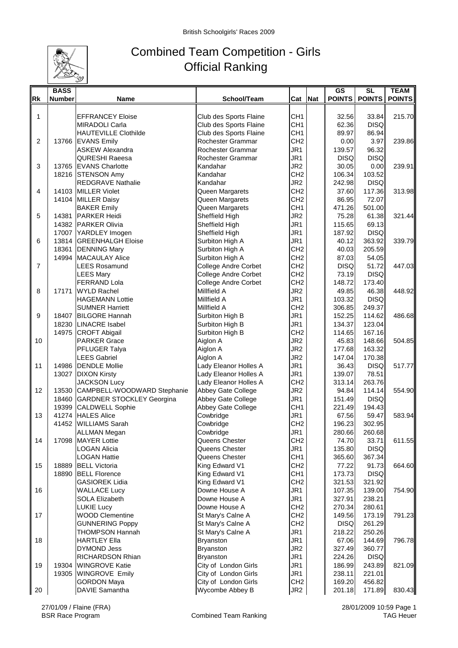

## Combined Team Competition - Girls Official Ranking

|           | <b>BASS</b>   |                                                                |                                          |                        |     | <b>GS</b>        | <b>SL</b>        | <b>TEAM</b>   |
|-----------|---------------|----------------------------------------------------------------|------------------------------------------|------------------------|-----|------------------|------------------|---------------|
| <b>Rk</b> | <b>Number</b> | <b>Name</b>                                                    | School/Team                              | Cat                    | Nat | <b>POINTS</b>    | <b>POINTS</b>    | <b>POINTS</b> |
|           |               |                                                                |                                          |                        |     |                  |                  |               |
| 1         |               | <b>EFFRANCEY Eloise</b>                                        | Club des Sports Flaine                   | CH <sub>1</sub>        |     | 32.56            | 33.84            | 215.70        |
|           |               | <b>MIRADOLI Carla</b>                                          | Club des Sports Flaine                   | CH <sub>1</sub>        |     | 62.36            | <b>DISQ</b>      |               |
|           |               | <b>HAUTEVILLE Clothilde</b>                                    | Club des Sports Flaine                   | CH <sub>1</sub>        |     | 89.97            | 86.94            |               |
| 2         |               | 13766 EVANS Emily                                              | Rochester Grammar                        | CH <sub>2</sub>        |     | 0.00             | 3.97             | 239.86        |
|           |               | <b>ASKEW Alexandra</b>                                         | Rochester Grammar                        | JR1                    |     | 139.57           | 96.32            |               |
|           |               | <b>QURESHI Raeesa</b>                                          | Rochester Grammar                        | JR <sub>1</sub>        |     | <b>DISQ</b>      | <b>DISQ</b>      |               |
| 3         |               | 13765 EVANS Charlotte                                          | Kandahar                                 | JR <sub>2</sub>        |     | 30.05            | 0.00             | 239.91        |
|           |               | 18216 STENSON Amy                                              | Kandahar                                 | CH <sub>2</sub>        |     | 106.34           | 103.52           |               |
|           |               | REDGRAVE Nathalie                                              | Kandahar                                 | JR <sub>2</sub>        |     | 242.98           | <b>DISQ</b>      |               |
| 4         |               | 14103 MILLER Violet                                            | Queen Margarets                          | CH <sub>2</sub>        |     | 37.60            | 117.36           | 313.98        |
|           |               | 14104 MILLER Daisy                                             | Queen Margarets                          | CH <sub>2</sub>        |     | 86.95            | 72.07            |               |
|           |               | <b>BAKER Emily</b>                                             | Queen Margarets                          | CH <sub>1</sub>        |     | 471.26           | 501.00           |               |
| 5         | 14381         | <b>PARKER Heidi</b>                                            | Sheffield High                           | JR <sub>2</sub>        |     | 75.28            | 61.38            | 321.44        |
|           |               | 14382 PARKER Olivia                                            | Sheffield High                           | JR <sub>1</sub>        |     | 115.65           | 69.13            |               |
|           |               | 17007 YARDLEY Imogen                                           | Sheffield High                           | JR <sub>1</sub>        |     | 187.92           | <b>DISQ</b>      |               |
| 6         |               | 13814 GREENHALGH Eloise                                        | Surbiton High A                          | JR <sub>1</sub>        |     | 40.12            | 363.92           | 339.79        |
|           | 18361         | <b>DENNING Mary</b>                                            | Surbiton High A                          | CH <sub>2</sub>        |     | 40.03            | 205.59           |               |
|           | 14994         | <b>MACAULAY Alice</b>                                          | Surbiton High A                          | CH <sub>2</sub>        |     | 87.03            | 54.05            |               |
| 7         |               | <b>LEES Rosamund</b>                                           | <b>College Andre Corbet</b>              | CH <sub>2</sub>        |     | <b>DISQ</b>      | 51.72            | 447.03        |
|           |               | <b>LEES Mary</b>                                               | <b>College Andre Corbet</b>              | CH <sub>2</sub>        |     | 73.19            | <b>DISQ</b>      |               |
|           |               | <b>FERRAND Lola</b>                                            | College Andre Corbet                     | CH <sub>2</sub>        |     | 148.72           | 173.40           |               |
| 8         | 17171         | <b>WYLD Rachel</b>                                             | <b>Millfield A</b>                       | JR <sub>2</sub>        |     | 49.85            | 46.38            | 448.92        |
|           |               | <b>HAGEMANN Lottie</b>                                         | Millfield A                              | JR1                    |     | 103.32           | <b>DISQ</b>      |               |
|           |               | <b>SUMNER Harriett</b>                                         | Millfield A                              | CH <sub>2</sub>        |     | 306.85           | 249.37           |               |
| 9         |               | 18407 BILGORE Hannah                                           | Surbiton High B                          | JR1                    |     | 152.25           | 114.62           | 486.68        |
|           |               | 18230 LINACRE Isabel                                           | Surbiton High B                          | JR <sub>1</sub>        |     | 134.37           | 123.04           |               |
|           |               | 14975 CROFT Abigail                                            | Surbiton High B                          | CH <sub>2</sub>        |     | 114.65           | 167.16           |               |
| 10        |               | <b>PARKER Grace</b>                                            | Aiglon A                                 | JR <sub>2</sub>        |     | 45.83            | 148.66           | 504.85        |
|           |               | PFLUGER Talya                                                  | Aiglon A                                 | JR <sub>2</sub>        |     | 177.68           | 163.32           |               |
|           |               | <b>LEES Gabriel</b>                                            | Aiglon A                                 | JR <sub>2</sub>        |     | 147.04           | 170.38           |               |
| 11        |               | 14986 DENDLE Mollie                                            | Lady Eleanor Holles A                    | JR1                    |     | 36.43            | <b>DISQ</b>      | 517.77        |
|           |               | 13027 DIXON Kirsty                                             | Lady Eleanor Holles A                    | JR1<br>CH <sub>2</sub> |     | 139.07           | 78.51            |               |
|           |               | <b>JACKSON Lucy</b>                                            | Lady Eleanor Holles A                    |                        |     | 313.14<br>94.84  | 263.76<br>114.14 |               |
| 12        | 13530         | CAMPBELL-WOODWARD Stephanie<br>18460 GARDNER STOCKLEY Georgina | Abbey Gate College<br>Abbey Gate College | JR <sub>2</sub><br>JR1 |     | 151.49           | <b>DISQ</b>      | 554.90        |
|           |               | 19399 CALDWELL Sophie                                          | Abbey Gate College                       | CH <sub>1</sub>        |     | 221.49           | 194.43           |               |
| 13        | 41274         | <b>HALES Alice</b>                                             | Cowbridge                                | JR1                    |     | 67.56            | 59.47            | 583.94        |
|           | 41452         | <b>WILLIAMS Sarah</b>                                          | Cowbridge                                | CH <sub>2</sub>        |     |                  |                  |               |
|           |               |                                                                |                                          |                        |     | 196.23<br>280.66 | 302.95<br>260.68 |               |
| 14        |               | <b>ALLMAN Megan</b><br>17098 MAYER Lottie                      | Cowbridge<br>Queens Chester              | JR1<br>CH <sub>2</sub> |     | 74.70            | 33.71            | 611.55        |
|           |               | <b>LOGAN Alicia</b>                                            | Queens Chester                           | JR1                    |     | 135.80           | <b>DISQ</b>      |               |
|           |               | <b>LOGAN Hattie</b>                                            | Queens Chester                           | CH <sub>1</sub>        |     | 365.60           | 367.34           |               |
| 15        | 18889         | <b>BELL Victoria</b>                                           | King Edward V1                           | CH <sub>2</sub>        |     | 77.22            | 91.73            | 664.60        |
|           |               | 18890 BELL Florence                                            | King Edward V1                           | CH <sub>1</sub>        |     | 173.73           | <b>DISQ</b>      |               |
|           |               | <b>GASIOREK Lidia</b>                                          | King Edward V1                           | CH <sub>2</sub>        |     | 321.53           | 321.92           |               |
| 16        |               | <b>WALLACE Lucy</b>                                            | Downe House A                            | JR1                    |     | 107.35           | 139.00           | 754.90        |
|           |               | <b>SOLA Elizabeth</b>                                          | Downe House A                            | JR1                    |     | 327.91           | 238.21           |               |
|           |               | <b>LUKIE Lucy</b>                                              | Downe House A                            | CH <sub>2</sub>        |     | 270.34           | 280.61           |               |
| 17        |               | <b>WOOD Clementine</b>                                         | St Mary's Calne A                        | CH <sub>2</sub>        |     | 149.56           | 173.19           | 791.23        |
|           |               | <b>GUNNERING Poppy</b>                                         | St Mary's Calne A                        | CH <sub>2</sub>        |     | <b>DISQ</b>      | 261.29           |               |
|           |               | <b>THOMPSON Hannah</b>                                         | St Mary's Calne A                        | JR1                    |     | 218.22           | 250.26           |               |
| 18        |               | <b>HARTLEY Ella</b>                                            | <b>Bryanston</b>                         | JR1                    |     | 67.06            | 144.69           | 796.78        |
|           |               | DYMOND Jess                                                    | <b>Bryanston</b>                         | JR2                    |     | 327.49           | 360.77           |               |
|           |               | RICHARDSON Rhian                                               | <b>Bryanston</b>                         | JR1                    |     | 224.26           | <b>DISQ</b>      |               |
| 19        |               | 19304 WINGROVE Katie                                           | City of London Girls                     | JR1                    |     | 186.99           | 243.89           | 821.09        |
|           |               | 19305 WINGROVE Emily                                           | City of London Girls                     | JR1                    |     | 238.11           | 221.01           |               |
|           |               | <b>GORDON Maya</b>                                             | City of London Girls                     | CH <sub>2</sub>        |     | 169.20           | 456.82           |               |
| 20        |               | DAVIE Samantha                                                 | Wycombe Abbey B                          | JR <sub>2</sub>        |     | 201.18           | 171.89           | 830.43        |
|           |               |                                                                |                                          |                        |     |                  |                  |               |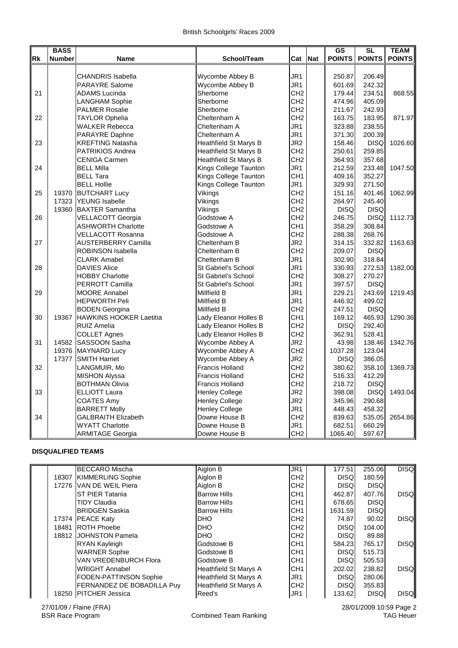|           | <b>BASS</b>   |                                |                              |                 |            | GS          | <b>SL</b>       | <b>TEAM</b>   |
|-----------|---------------|--------------------------------|------------------------------|-----------------|------------|-------------|-----------------|---------------|
| <b>Rk</b> | <b>Number</b> | <b>Name</b>                    | School/Team                  | Cat             | <b>Nat</b> |             | POINTS   POINTS | <b>POINTS</b> |
|           |               |                                |                              |                 |            |             |                 |               |
|           |               | <b>CHANDRIS Isabella</b>       | Wycombe Abbey B              | JR1             |            | 250.87      | 206.49          |               |
|           |               | <b>PARAYRE Salome</b>          | Wycombe Abbey B              | JR1             |            | 601.69      | 242.32          |               |
| 21        |               | <b>ADAMS Lucinda</b>           | Sherborne                    | CH <sub>2</sub> |            | 179.44      | 234.51          | 868.55        |
|           |               | <b>LANGHAM Sophie</b>          | Sherborne                    | CH <sub>2</sub> |            | 474.96      | 405.09          |               |
|           |               | <b>PALMER Rosalie</b>          | Sherborne                    | CH <sub>2</sub> |            | 211.67      | 242.93          |               |
| 22        |               | TAYLOR Ophelia                 | Cheltenham A                 | CH <sub>2</sub> |            | 163.75      | 183.95          | 871.97        |
|           |               | WALKER Rebecca                 | Cheltenham A                 | JR1             |            | 323.88      | 238.55          |               |
|           |               | <b>PARAYRE Daphne</b>          | Cheltenham A                 | JR1             |            | 371.30      | 200.39          |               |
| 23        |               | KREFTING Natasha               | <b>Heathfield St Marys B</b> | JR <sub>2</sub> |            | 158.46      | <b>DISQ</b>     | 1026.60       |
|           |               | PATRIKIOS Andrea               | Heathfield St Marys B        | CH <sub>2</sub> |            | 250.61      | 259.85          |               |
|           |               | <b>CENIGA Carmen</b>           | Heathfield St Marys B        | CH <sub>2</sub> |            | 364.93      | 357.68          |               |
| 24        |               | <b>BELL Milla</b>              | Kings College Taunton        | JR1             |            | 212.59      | 233.48          | 1047.50       |
|           |               | <b>BELL Tara</b>               | Kings College Taunton        | CH <sub>1</sub> |            | 409.16      | 352.27          |               |
|           |               | <b>BELL Hollie</b>             | Kings College Taunton        | JR1             |            | 329.93      | 271.50          |               |
| 25        | 19370         | <b>BUTCHART Lucy</b>           | Vikings                      | CH <sub>2</sub> |            | 151.16      | 401.46          | 1062.99       |
|           | 17323         | <b>YEUNG</b> Isabelle          | Vikings                      | CH <sub>2</sub> |            | 264.97      | 245.40          |               |
|           | 19360         | <b>BAXTER Samantha</b>         | Vikings                      | CH <sub>2</sub> |            | <b>DISQ</b> | <b>DISQ</b>     |               |
| 26        |               | VELLACOTT Georgia              | Godstowe A                   | CH <sub>2</sub> |            | 246.75      | <b>DISQ</b>     | 1112.73       |
|           |               | <b>ASHWORTH Charlotte</b>      | Godstowe A                   | CH <sub>1</sub> |            | 358.29      | 308.84          |               |
|           |               | VELLACOTT Rosanna              | Godstowe A                   | CH <sub>2</sub> |            | 288.38      | 268.76          |               |
| 27        |               | <b>AUSTERBERRY Camilla</b>     | Cheltenham B                 | JR <sub>2</sub> |            | 314.15      | 332.82          | 1163.63       |
|           |               | ROBINSON Isabella              | Cheltenham B                 | CH <sub>2</sub> |            | 209.07      | <b>DISQ</b>     |               |
|           |               | <b>CLARK Amabel</b>            | Cheltenham B                 | JR <sub>1</sub> |            | 302.90      | 318.84          |               |
| 28        |               | <b>DAVIES Alice</b>            | <b>St Gabriel's School</b>   | JR <sub>1</sub> |            | 330.93      | 272.53          | 1182.00       |
|           |               | <b>HOBBY Charlotte</b>         | <b>St Gabriel's School</b>   | CH <sub>2</sub> |            | 308.27      | 270.27          |               |
|           |               | PERROTT Camilla                | <b>St Gabriel's School</b>   | JR <sub>1</sub> |            | 397.57      | <b>DISQ</b>     |               |
| 29        |               | <b>MOORE Annabel</b>           | Millfield B                  | JR <sub>1</sub> |            | 229.21      | 243.69          | 1219.43       |
|           |               | <b>HEPWORTH Peli</b>           | Millfield B                  | JR <sub>1</sub> |            | 446.92      | 499.02          |               |
|           |               | <b>BODEN</b> Georgina          | Millfield B                  | CH <sub>2</sub> |            | 247.51      | <b>DISQ</b>     |               |
| 30        | 19367         | <b>HAWKINS HOOKER Laetitia</b> | Lady Eleanor Holles B        | CH <sub>1</sub> |            | 169.12      | 465.93          | 1290.36       |
|           |               | <b>RUIZ Amelia</b>             | Lady Eleanor Holles B        | CH <sub>2</sub> |            | <b>DISQ</b> | 292.40          |               |
|           |               | <b>COLLET Agnes</b>            | Lady Eleanor Holles B        | CH <sub>2</sub> |            | 362.91      | 528.41          |               |
| 31        |               | 14582 SASSOON Sasha            | Wycombe Abbey A              | JR <sub>2</sub> |            | 43.98       | 138.46          | 1342.76       |
|           | 19376         | <b>MAYNARD Lucy</b>            | Wycombe Abbey A              | CH <sub>2</sub> |            | 1037.28     | 123.04          |               |
|           | 17377         | <b>SMITH Harriet</b>           | Wycombe Abbey A              | JR <sub>2</sub> |            | <b>DISQ</b> | 386.05          |               |
| 32        |               | LANGMUIR, Mo                   | <b>Francis Holland</b>       | CH <sub>2</sub> |            | 380.62      | 358.10          | 1369.73       |
|           |               | <b>MISHON Alyssa</b>           | <b>Francis Holland</b>       | CH <sub>2</sub> |            | 516.33      | 412.29          |               |
|           |               | <b>BOTHMAN Olivia</b>          | <b>Francis Holland</b>       | CH <sub>2</sub> |            | 218.72      | <b>DISQ</b>     |               |
| 33        |               | <b>ELLIOTT Laura</b>           | <b>Henley College</b>        | JR <sub>2</sub> |            | 398.08      | <b>DISQ</b>     | 1493.04       |
|           |               | <b>COATES Amy</b>              | <b>Henley College</b>        | JR <sub>2</sub> |            | 345.96      | 290.68          |               |
|           |               | <b>BARRETT Molly</b>           | <b>Henley College</b>        | JR <sub>1</sub> |            | 448.43      | 458.32          |               |
| 34        |               | <b>GALBRAITH Elizabeth</b>     | Downe House B                | CH <sub>2</sub> |            | 839.63      | 535.05          | 2654.86       |
|           |               | <b>WYATT Charlotte</b>         | Downe House B                | JR1             |            | 682.51      | 660.29          |               |
|           |               | <b>ARMITAGE Georgia</b>        | Downe House B                | CH <sub>2</sub> |            | 1065.40     | 597.67          |               |

## **DISQUALIFIED TEAMS**

|  | <b>BECCARO Mischa</b>         | Aiglon B                     | JR <sub>1</sub> | 177.51      | 255.06      | <b>DISQ</b> |
|--|-------------------------------|------------------------------|-----------------|-------------|-------------|-------------|
|  | 18307 KIMMERLING Sophie       | Aiglon B                     | CH <sub>2</sub> | <b>DISQ</b> | 180.59      |             |
|  | 17276 VAN DE WEIL Piera       | Aiglon B                     | CH <sub>2</sub> | <b>DISQ</b> | <b>DISQ</b> |             |
|  | <b>IST PIER Tatania</b>       | <b>Barrow Hills</b>          | CH <sub>1</sub> | 462.87      | 407.76      | <b>DISQ</b> |
|  | <b>TIDY Claudia</b>           | <b>Barrow Hills</b>          | CH <sub>1</sub> | 678.65      | <b>DISQ</b> |             |
|  | <b>BRIDGEN Saskia</b>         | <b>Barrow Hills</b>          | CH <sub>1</sub> | 1631.59     | <b>DISQ</b> |             |
|  | 17374 PEACE Katy              | DHO                          | CH <sub>2</sub> | 74.87       | 90.02       | <b>DISQ</b> |
|  | 18481 ROTH Phoebe             | <b>DHO</b>                   | CH <sub>2</sub> | <b>DISQ</b> | 104.00      |             |
|  | 18812 JJOHNSTON Pamela        | <b>DHO</b>                   | CH <sub>2</sub> | <b>DISQ</b> | 89.88       |             |
|  | <b>RYAN Kayleigh</b>          | Godstowe B                   | CH <sub>1</sub> | 584.23      | 765.17      | <b>DISQ</b> |
|  | <b>WARNER Sophie</b>          | Godstowe B                   | CH <sub>1</sub> | <b>DISQ</b> | 515.73      |             |
|  | VAN VREDENBURCH Flora         | Godstowe B                   | CH <sub>1</sub> | <b>DISQ</b> | 505.53      |             |
|  | WRIGHT Annabel                | <b>Heathfield St Marys A</b> | CH <sub>1</sub> | 202.02      | 238.82      | <b>DISQ</b> |
|  | <b>FODEN-PATTINSON Sophie</b> | <b>Heathfield St Marys A</b> | JR1             | <b>DISQ</b> | 280.06      |             |
|  | FERNANDEZ DE BOBADILLA Puy    | <b>Heathfield St Marys A</b> | CH <sub>2</sub> | <b>DISQ</b> | 355.83      |             |
|  | 18250 PITCHER Jessica         | Reed's                       | JR1             | 133.62      | <b>DISQ</b> | <b>DISQ</b> |
|  |                               |                              |                 |             |             |             |